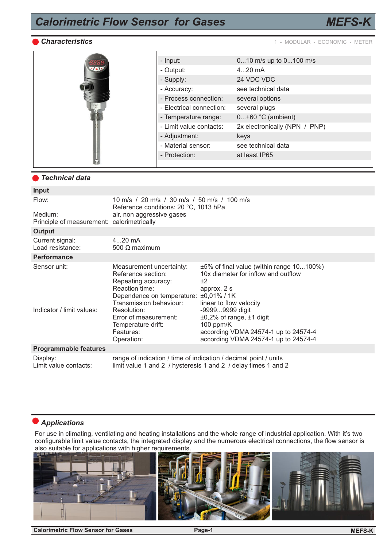# *Calorimetric Flow Sensor for Gases*



*Characteristics* 1 - MODULAR - ECONOMIC - METER

*MEFS-K*

|  | - Input:                 | 010 m/s up to 0100 m/s        |
|--|--------------------------|-------------------------------|
|  | - Output:                | $420$ mA                      |
|  | - Supply:                | 24 VDC VDC                    |
|  | - Accuracy:              | see technical data            |
|  | - Process connection:    | several options               |
|  | - Electrical connection: | several plugs                 |
|  | - Temperature range:     | $0+60$ °C (ambient)           |
|  | - Limit value contacts:  | 2x electronically (NPN / PNP) |
|  | - Adjustment:            | keys                          |
|  | - Material sensor:       | see technical data            |
|  | - Protection:            | at least IP65                 |
|  |                          |                               |

### *Technical data*

| Input                                                 |                                                                                                                                                                                                                                                       |                                                                                                                                                                                                                                                                                           |  |  |
|-------------------------------------------------------|-------------------------------------------------------------------------------------------------------------------------------------------------------------------------------------------------------------------------------------------------------|-------------------------------------------------------------------------------------------------------------------------------------------------------------------------------------------------------------------------------------------------------------------------------------------|--|--|
| Flow:                                                 | 10 m/s / 20 m/s / 30 m/s / 50 m/s / 100 m/s<br>Reference conditions: 20 °C, 1013 hPa                                                                                                                                                                  |                                                                                                                                                                                                                                                                                           |  |  |
| Medium:<br>Principle of measurement: calorimetrically | air, non aggressive gases                                                                                                                                                                                                                             |                                                                                                                                                                                                                                                                                           |  |  |
| <b>Output</b>                                         |                                                                                                                                                                                                                                                       |                                                                                                                                                                                                                                                                                           |  |  |
| Current signal:<br>Load resistance:                   | $420$ mA<br>500 $\Omega$ maximum                                                                                                                                                                                                                      |                                                                                                                                                                                                                                                                                           |  |  |
| <b>Performance</b>                                    |                                                                                                                                                                                                                                                       |                                                                                                                                                                                                                                                                                           |  |  |
| Sensor unit:<br>Indicator / limit values:             | Measurement uncertainty:<br>Reference section:<br>Repeating accuracy:<br>Reaction time:<br>Dependence on temperature: ±0,01% / 1K<br>Transmission behaviour:<br>Resolution:<br>Error of measurement:<br>Temperature drift:<br>Features:<br>Operation: | ±5% of final value (within range 10100%)<br>10x diameter for inflow and outflow<br>±2<br>approx. 2 s<br>linear to flow velocity<br>-99999999 digit<br>$\pm 0.2\%$ of range, $\pm 1$ digit<br>100 ppm/ $K$<br>according VDMA 24574-1 up to 24574-4<br>according VDMA 24574-1 up to 24574-4 |  |  |
| <b>Programmable features</b>                          |                                                                                                                                                                                                                                                       |                                                                                                                                                                                                                                                                                           |  |  |
| Display:<br>Limit value contacts:                     | range of indication / time of indication / decimal point / units<br>limit value 1 and 2 / hysteresis 1 and 2 / delay times 1 and 2                                                                                                                    |                                                                                                                                                                                                                                                                                           |  |  |

### *Applications*

For use in climating, ventilating and heating installations and the whole range of industrial application. With it's two configurable limit value contacts, the integrated display and the numerous electrical connections, the flow sensor is also suitable for applications with higher requirements.



**Calorimetric Flow Sensor for Gases Page-1**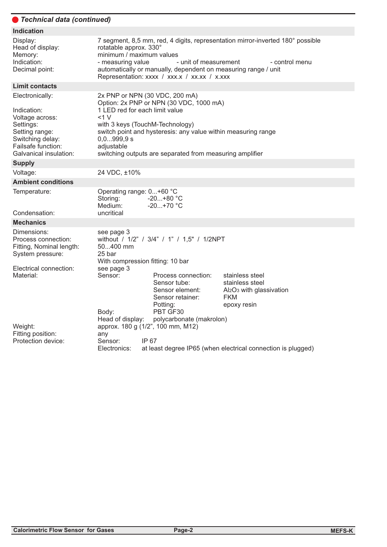#### *Technical data (continued)*  $\overline{ }$

| <b>Indication</b>                                                                                                                                    |                                                                                                                                                                                                                                                                                                                        |                                                                                                                                                                                                        |                                                                                                                     |  |  |
|------------------------------------------------------------------------------------------------------------------------------------------------------|------------------------------------------------------------------------------------------------------------------------------------------------------------------------------------------------------------------------------------------------------------------------------------------------------------------------|--------------------------------------------------------------------------------------------------------------------------------------------------------------------------------------------------------|---------------------------------------------------------------------------------------------------------------------|--|--|
| Display:<br>Head of display:<br>Memory:<br>Indication:<br>Decimal point:                                                                             | 7 segment, 8,5 mm, red, 4 digits, representation mirror-inverted 180° possible<br>rotatable approx. 330°<br>minimum / maximum values<br>- measuring value<br>- unit of measurement<br>- control menu<br>automatically or manually, dependent on measuring range / unit<br>Representation: xxxx / xxx.x / xx.xx / x.xxx |                                                                                                                                                                                                        |                                                                                                                     |  |  |
| <b>Limit contacts</b>                                                                                                                                |                                                                                                                                                                                                                                                                                                                        |                                                                                                                                                                                                        |                                                                                                                     |  |  |
| Electronically:<br>Indication:<br>Voltage across:<br>Settings:<br>Setting range:<br>Switching delay:<br>Failsafe function:<br>Galvanical insulation: | 1 LED red for each limit value<br><1 V<br>with 3 keys (TouchM-Technology)<br>0,0999,9 s<br>adjustable                                                                                                                                                                                                                  | 2x PNP or NPN (30 VDC, 200 mA)<br>Option: 2x PNP or NPN (30 VDC, 1000 mA)<br>switch point and hysteresis: any value within measuring range<br>switching outputs are separated from measuring amplifier |                                                                                                                     |  |  |
| <b>Supply</b>                                                                                                                                        |                                                                                                                                                                                                                                                                                                                        |                                                                                                                                                                                                        |                                                                                                                     |  |  |
| Voltage:                                                                                                                                             | 24 VDC, ±10%                                                                                                                                                                                                                                                                                                           |                                                                                                                                                                                                        |                                                                                                                     |  |  |
| <b>Ambient conditions</b>                                                                                                                            |                                                                                                                                                                                                                                                                                                                        |                                                                                                                                                                                                        |                                                                                                                     |  |  |
| Temperature:<br>Condensation:                                                                                                                        | Operating range: 0+60 °C<br>Storing:<br>Medium:<br>uncritical                                                                                                                                                                                                                                                          | $-20+80 °C$<br>$-20+70$ °C                                                                                                                                                                             |                                                                                                                     |  |  |
| <b>Mechanics</b>                                                                                                                                     |                                                                                                                                                                                                                                                                                                                        |                                                                                                                                                                                                        |                                                                                                                     |  |  |
| Dimensions:<br>Process connection:<br>Fitting, Nominal length:<br>System pressure:                                                                   | see page 3<br>50400 mm<br>25 bar<br>With compression fitting: 10 bar                                                                                                                                                                                                                                                   | without / 1/2" / 3/4" / 1" / 1,5" / 1/2NPT                                                                                                                                                             |                                                                                                                     |  |  |
| Electrical connection:<br>Material:                                                                                                                  | see page 3<br>Sensor:<br>Body:<br>Head of display:                                                                                                                                                                                                                                                                     | Process connection:<br>Sensor tube:<br>Sensor element:<br>Sensor retainer:<br>Potting:<br>PBT GF30<br>polycarbonate (makrolon)                                                                         | stainless steel<br>stainless steel<br>Al <sub>2</sub> O <sub>3</sub> with glassivation<br><b>FKM</b><br>epoxy resin |  |  |
| Weight:<br>Fitting position:<br>Protection device:                                                                                                   | any<br>Sensor:<br>Electronics:                                                                                                                                                                                                                                                                                         | approx. 180 g (1/2", 100 mm, M12)<br>IP 67<br>at least degree IP65 (when electrical connection is plugged)                                                                                             |                                                                                                                     |  |  |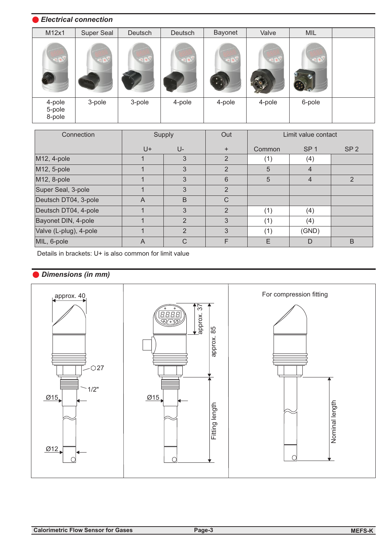### *Electrical connection*

| M12x1                      | Super Seal | Deutsch | Deutsch | Bayonet | Valve  | MIL    |  |
|----------------------------|------------|---------|---------|---------|--------|--------|--|
|                            |            |         |         |         |        |        |  |
| 4-pole<br>5-pole<br>8-pole | 3-pole     | 3-pole  | 4-pole  | 4-pole  | 4-pole | 6-pole |  |

| Connection             | Out<br>Supply |                |                | Limit value contact |                 |                 |
|------------------------|---------------|----------------|----------------|---------------------|-----------------|-----------------|
|                        | U+            | $U -$          | $\ddot{}$      | Common              | SP <sub>1</sub> | SP <sub>2</sub> |
| M12, 4-pole            |               | 3              | 2              | (1)                 | (4)             |                 |
| M12, 5-pole            |               | 3              | $\overline{2}$ | 5                   | 4               |                 |
| M12, 8-pole            |               | 3              | 6              | 5                   | $\overline{4}$  | 2               |
| Super Seal, 3-pole     |               | 3              | 2              |                     |                 |                 |
| Deutsch DT04, 3-pole   | A             | B              | $\mathsf{C}$   |                     |                 |                 |
| Deutsch DT04, 4-pole   |               | 3              | $\overline{2}$ | (1)                 | (4)             |                 |
| Bayonet DIN, 4-pole    |               | $\mathfrak{p}$ | 3              | (1)                 | (4)             |                 |
| Valve (L-plug), 4-pole |               | $\overline{2}$ | 3              | (1)                 | (GND)           |                 |
| MIL, 6-pole            | A             | C              | F              | E                   | D               | B               |

Details in brackets: U+ is also common for limit value

## *Dimensions (in mm)*